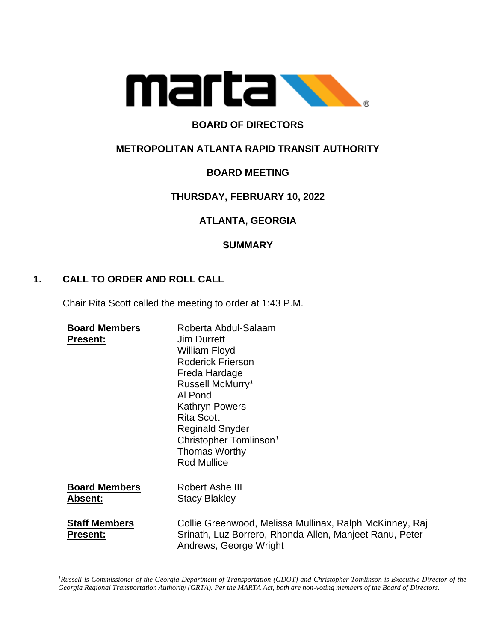

# **BOARD OF DIRECTORS**

## **METROPOLITAN ATLANTA RAPID TRANSIT AUTHORITY**

# **BOARD MEETING**

## **THURSDAY, FEBRUARY 10, 2022**

## **ATLANTA, GEORGIA**

### **SUMMARY**

### **1. CALL TO ORDER AND ROLL CALL**

Chair Rita Scott called the meeting to order at 1:43 P.M.

| <b>Board Members</b><br><b>Present:</b> | Roberta Abdul-Salaam<br><b>Jim Durrett</b><br>William Floyd<br><b>Roderick Frierson</b><br>Freda Hardage<br>Russell McMurry <sup>1</sup><br>Al Pond<br><b>Kathryn Powers</b><br><b>Rita Scott</b><br><b>Reginald Snyder</b><br>Christopher Tomlinson <sup>1</sup><br><b>Thomas Worthy</b><br><b>Rod Mullice</b> |
|-----------------------------------------|-----------------------------------------------------------------------------------------------------------------------------------------------------------------------------------------------------------------------------------------------------------------------------------------------------------------|
| <b>Board Members</b><br><b>Absent:</b>  | Robert Ashe III<br><b>Stacy Blakley</b>                                                                                                                                                                                                                                                                         |
| <b>Staff Members</b><br><b>Present:</b> | Collie Greenwood, Melissa Mullinax, Ralph McKinney, Raj<br>Srinath, Luz Borrero, Rhonda Allen, Manjeet Ranu, Peter<br>Andrews, George Wright                                                                                                                                                                    |

*<sup>1</sup>Russell is Commissioner of the Georgia Department of Transportation (GDOT) and Christopher Tomlinson is Executive Director of the Georgia Regional Transportation Authority (GRTA). Per the MARTA Act, both are non-voting members of the Board of Directors.*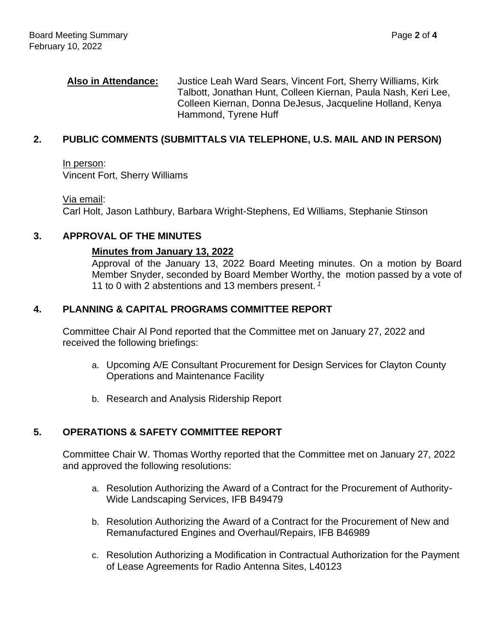**Also in Attendance:** Justice Leah Ward Sears, Vincent Fort, Sherry Williams, Kirk Talbott, Jonathan Hunt, Colleen Kiernan, Paula Nash, Keri Lee, Colleen Kiernan, Donna DeJesus, Jacqueline Holland, Kenya Hammond, Tyrene Huff

#### **2. PUBLIC COMMENTS (SUBMITTALS VIA TELEPHONE, U.S. MAIL AND IN PERSON)**

In person: Vincent Fort, Sherry Williams

Via email: Carl Holt, Jason Lathbury, Barbara Wright-Stephens, Ed Williams, Stephanie Stinson

#### **3. APPROVAL OF THE MINUTES**

#### **Minutes from January 13, 2022**

Approval of the January 13, 2022 Board Meeting minutes. On a motion by Board Member Snyder, seconded by Board Member Worthy, the motion passed by a vote of 11 to 0 with 2 abstentions and 13 members present. *<sup>1</sup>*

#### **4. PLANNING & CAPITAL PROGRAMS COMMITTEE REPORT**

Committee Chair Al Pond reported that the Committee met on January 27, 2022 and received the following briefings:

- a. Upcoming A/E Consultant Procurement for Design Services for Clayton County Operations and Maintenance Facility
- b. Research and Analysis Ridership Report

## **5. OPERATIONS & SAFETY COMMITTEE REPORT**

Committee Chair W. Thomas Worthy reported that the Committee met on January 27, 2022 and approved the following resolutions:

- a. Resolution Authorizing the Award of a Contract for the Procurement of Authority-Wide Landscaping Services, IFB B49479
- b. Resolution Authorizing the Award of a Contract for the Procurement of New and Remanufactured Engines and Overhaul/Repairs, IFB B46989
- c. Resolution Authorizing a Modification in Contractual Authorization for the Payment of Lease Agreements for Radio Antenna Sites, L40123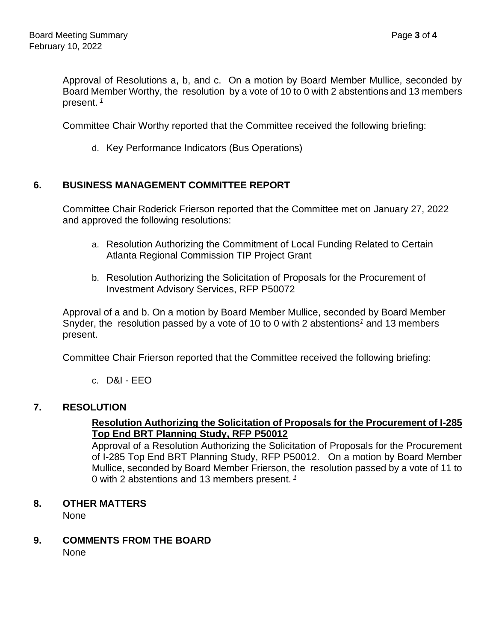Approval of Resolutions a, b, and c. On a motion by Board Member Mullice, seconded by Board Member Worthy, the resolution by a vote of 10 to 0 with 2 abstentions and 13 members present. *<sup>1</sup>*

Committee Chair Worthy reported that the Committee received the following briefing:

d. Key Performance Indicators (Bus Operations)

## **6. BUSINESS MANAGEMENT COMMITTEE REPORT**

Committee Chair Roderick Frierson reported that the Committee met on January 27, 2022 and approved the following resolutions:

- a. Resolution Authorizing the Commitment of Local Funding Related to Certain Atlanta Regional Commission TIP Project Grant
- b. Resolution Authorizing the Solicitation of Proposals for the Procurement of Investment Advisory Services, RFP P50072

Approval of a and b. On a motion by Board Member Mullice, seconded by Board Member Snyder, the resolution passed by a vote of 10 to 0 with 2 abstentions*<sup>1</sup>* and 13 members present.

Committee Chair Frierson reported that the Committee received the following briefing:

c. D&I - EEO

## **7. RESOLUTION**

#### **Resolution Authorizing the Solicitation of Proposals for the Procurement of I-285 Top End BRT Planning Study, RFP P50012**

Approval of a Resolution Authorizing the Solicitation of Proposals for the Procurement of I-285 Top End BRT Planning Study, RFP P50012. On a motion by Board Member Mullice, seconded by Board Member Frierson, the resolution passed by a vote of 11 to 0 with 2 abstentions and 13 members present. *1*

**8. OTHER MATTERS**

None

**9. COMMENTS FROM THE BOARD**

None